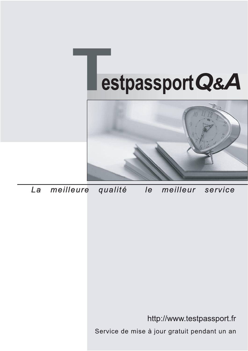



meilleure La qualité  $\overline{e}$ meilleur service

http://www.testpassport.fr

Service de mise à jour gratuit pendant un an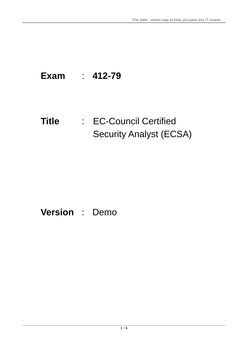# **Exam** : **412-79**

# **Title** : EC-Council Certified Security Analyst (ECSA)

# **Version** : Demo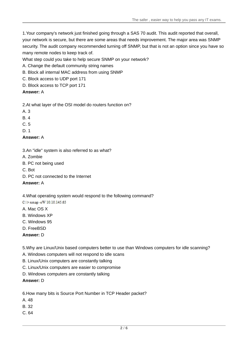1.Your company's network just finished going through a SAS 70 audit. This audit reported that overall, your network is secure, but there are some areas that needs improvement. The major area was SNMP security. The audit company recommended turning off SNMP, but that is not an option since you have so many remote nodes to keep track of.

What step could you take to help secure SNMP on your network?

- A. Change the default community string names
- B. Block all internal MAC address from using SNMP
- C. Block access to UDP port 171
- D. Block access to TCP port 171

#### **Answer:** A

2.At what layer of the OSI model do routers function on?

- A. 3
- B. 4
- C. 5
- D. 1

#### **Answer:** A

3.An "idle" system is also referred to as what?

- A. Zombie
- B. PC not being used
- C. Bot
- D. PC not connected to the Internet

#### **Answer:** A

#### 4.What operating system would respond to the following command?

C:\> nmap -sW 10.10.145.65

- A. Mac OS X
- B. Windows XP
- C. Windows 95
- D. FreeBSD
- **Answer:** D

5.Why are Linux/Unix based computers better to use than Windows computers for idle scanning?

- A. Windows computers will not respond to idle scans
- B. Linux/Unix computers are constantly talking
- C. Linux/Unix computers are easier to compromise
- D. Windows computers are constantly talking

#### **Answer:** D

6.How many bits is Source Port Number in TCP Header packet?

- A. 48
- B. 32
- C. 64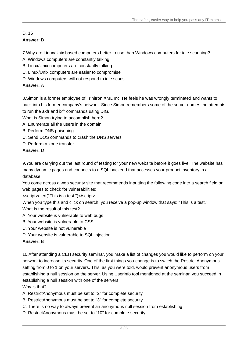### D. 16 **Answer:** D

7.Why are Linux/Unix based computers better to use than Windows computers for idle scanning?

- A. Windows computers are constantly talking
- B. Linux/Unix computers are constantly talking
- C. Linux/Unix computers are easier to compromise
- D. Windows computers will not respond to idle scans

#### **Answer:** A

8.Simon is a former employee of Trinitron XML Inc. He feels he was wrongly terminated and wants to hack into his former company's network. Since Simon remembers some of the server names, he attempts to run the axfr and ixfr commands using DIG.

What is Simon trying to accomplish here?

- A. Enumerate all the users in the domain
- B. Perform DNS poisoning
- C. Send DOS commands to crash the DNS servers
- D. Perform a zone transfer

#### **Answer:** D

9.You are carrying out the last round of testing for your new website before it goes live. The website has many dynamic pages and connects to a SQL backend that accesses your product inventory in a database.

You come across a web security site that recommends inputting the following code into a search field on web pages to check for vulnerabilities:

<script>alert("This is a test.")</script>

When you type this and click on search, you receive a pop-up window that says: "This is a test." What is the result of this test?

- A. Your website is vulnerable to web bugs
- B. Your website is vulnerable to CSS
- C. Your website is not vulnerable
- D. Your website is vulnerable to SQL injection

#### **Answer:** B

10.After attending a CEH security seminar, you make a list of changes you would like to perform on your network to increase its security. One of the first things you change is to switch the Restrict Anonymous setting from 0 to 1 on your servers. This, as you were told, would prevent anonymous users from establishing a null session on the server. Using Userinfo tool mentioned at the seminar, you succeed in establishing a null session with one of the servers.

Why is that?

A. RestrictAnonymous must be set to "2" for complete security

- B. RestrictAnonymous must be set to "3" for complete security
- C. There is no way to always prevent an anonymous null session from establishing
- D. RestrictAnonymous must be set to "10" for complete security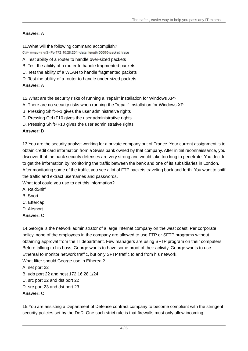#### **Answer:** A

- 11.What will the following command accomplish?
- C:\> nmap -v -s S -Po 172.16.28.251 -data\_length 66000-packet\_trace
- A. Test ability of a router to handle over-sized packets
- B. Test the ability of a router to handle fragmented packets
- C. Test the ability of a WLAN to handle fragmented packets
- D. Test the ability of a router to handle under-sized packets

# **Answer:** A

12.What are the security risks of running a "repair" installation for Windows XP?

- A. There are no security risks when running the "repair" installation for Windows XP
- B. Pressing Shift+F1 gives the user administrative rights
- C. Pressing Ctrl+F10 gives the user administrative rights
- D. Pressing Shift+F10 gives the user administrative rights

# **Answer:** D

13.You are the security analyst working for a private company out of France. Your current assignment is to obtain credit card information from a Swiss bank owned by that company. After initial reconnaissance, you discover that the bank security defenses are very strong and would take too long to penetrate. You decide to get the information by monitoring the traffic between the bank and one of its subsidiaries in London. After monitoring some of the traffic, you see a lot of FTP packets traveling back and forth. You want to sniff the traffic and extract usernames and passwords.

What tool could you use to get this information?

- A. RaidSniff
- B. Snort
- C. Ettercap
- D. Airsnort
- **Answer:** C

14.George is the network administrator of a large Internet company on the west coast. Per corporate policy, none of the employees in the company are allowed to use FTP or SFTP programs without obtaining approval from the IT department. Few managers are using SFTP program on their computers. Before talking to his boss, George wants to have some proof of their activity. George wants to use Ethereal to monitor network traffic, but only SFTP traffic to and from his network.

What filter should George use in Ethereal?

A. net port 22

- B. udp port 22 and host 172.16.28.1/24
- C. src port 22 and dst port 22
- D. src port 23 and dst port 23

# **Answer:** C

15.You are assisting a Department of Defense contract company to become compliant with the stringent security policies set by the DoD. One such strict rule is that firewalls must only allow incoming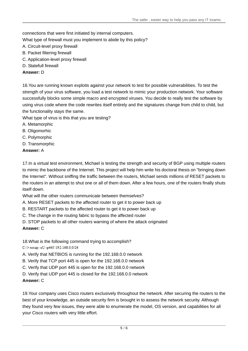connections that were first initiated by internal computers.

What type of firewall must you implement to abide by this policy?

- A. Circuit-level proxy firewall
- B. Packet filtering firewall
- C. Application-level proxy firewall
- D. Statefull firewall

#### **Answer:** D

16.You are running known exploits against your network to test for possible vulnerabilities. To test the strength of your virus software, you load a test network to mimic your production network. Your software successfully blocks some simple macro and encrypted viruses. You decide to really test the software by using virus code where the code rewrites itself entirely and the signatures change from child to child, but the functionality stays the same.

What type of virus is this that you are testing?

- A. Metamorphic
- B. Oligomorhic
- C. Polymorphic
- D. Transmorphic
- **Answer:** A

17.In a virtual test environment, Michael is testing the strength and security of BGP using multiple routers to mimic the backbone of the Internet. This project will help him write his doctoral thesis on "bringing down the Internet". Without sniffing the traffic between the routers, Michael sends millions of RESET packets to the routers in an attempt to shut one or all of them down. After a few hours, one of the routers finally shuts itself down.

What will the other routers communicate between themselves?

- A. More RESET packets to the affected router to get it to power back up
- B. RESTART packets to the affected router to get it to power back up
- C. The change in the routing fabric to bypass the affected router
- D. STOP packets to all other routers warning of where the attack originated

#### **Answer:** C

- 18.What is the following command trying to accomplish?
- C:\>nmap-sU-p445 192.168.0.0/24
- A. Verify that NETBIOS is running for the 192.168.0.0 network
- B. Verify that TCP port 445 is open for the 192.168.0.0 network
- C. Verify that UDP port 445 is open for the 192.168.0.0 network
- D. Verify that UDP port 445 is closed for the 192.168.0.0 network

#### **Answer:** C

19.Your company uses Cisco routers exclusively throughout the network. After securing the routers to the best of your knowledge, an outside security firm is brought in to assess the network security. Although they found very few issues, they were able to enumerate the model, OS version, and capabilities for all your Cisco routers with very little effort.